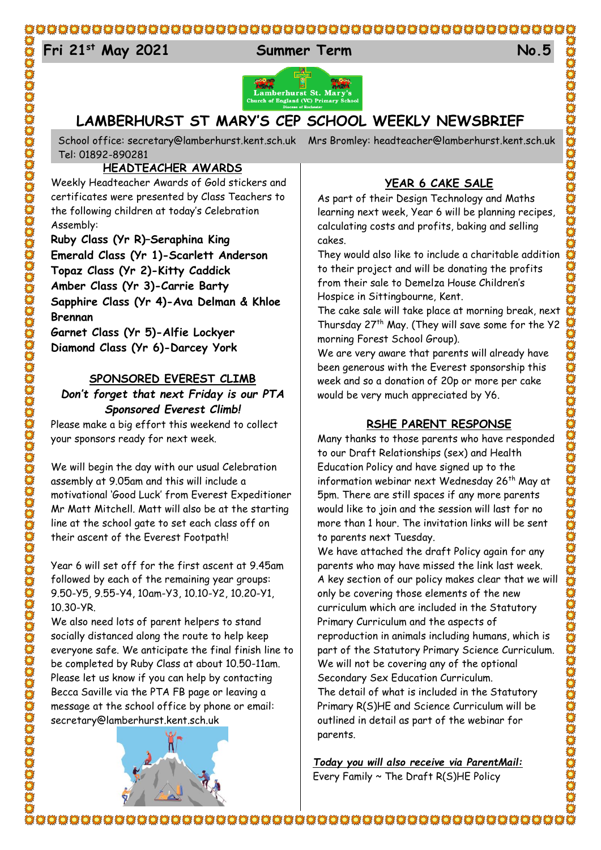#### 

# 24 **Fri 21st May 2021 Summer Term No.5**



# **LAMBERHURST ST MARY'S CEP SCHOOL WEEKLY NEWSBRIEF**

School office: [secretary@lamberhurst.kent.sch.uk](mailto:secretary@lamberhurst.kent.sch.uk) Mrs Bromley: headteacher@lamberhurst.kent.sch.uk Tel: 01892-890281

#### **HEADTEACHER AWARDS**

Weekly Headteacher Awards of Gold stickers and certificates were presented by Class Teachers to the following children at today's Celebration Assembly:

**Ruby Class (Yr R)–Seraphina King Emerald Class (Yr 1)-Scarlett Anderson Topaz Class (Yr 2)-Kitty Caddick Amber Class (Yr 3)-Carrie Barty Sapphire Class (Yr 4)-Ava Delman & Khloe Brennan Garnet Class (Yr 5)-Alfie Lockyer Diamond Class (Yr 6)-Darcey York**

## **SPONSORED EVEREST CLIMB**

*Don't forget that next Friday is our PTA Sponsored Everest Climb!*

Please make a big effort this weekend to collect your sponsors ready for next week.

We will begin the day with our usual Celebration assembly at 9.05am and this will include a motivational 'Good Luck' from Everest Expeditioner Mr Matt Mitchell. Matt will also be at the starting line at the school gate to set each class off on their ascent of the Everest Footpath!

Year 6 will set off for the first ascent at 9.45am followed by each of the remaining year groups: 9.50-Y5, 9.55-Y4, 10am-Y3, 10.10-Y2, 10.20-Y1, 10.30-YR.

We also need lots of parent helpers to stand socially distanced along the route to help keep everyone safe. We anticipate the final finish line to be completed by Ruby Class at about 10.50-11am. Please let us know if you can help by contacting Becca Saville via the PTA FB page or leaving a message at the school office by phone or email: secretary@lamberhurst.kent.sch.uk



#### **YEAR 6 CAKE SALE**

As part of their Design Technology and Maths learning next week, Year 6 will be planning recipes, calculating costs and profits, baking and selling cakes.

They would also like to include a charitable addition to their project and will be donating the profits from their sale to Demelza House Children's Hospice in Sittingbourne, Kent.

The cake sale will take place at morning break, next Thursday 27<sup>th</sup> May. (They will save some for the Y2 morning Forest School Group).

We are very aware that parents will already have been generous with the Everest sponsorship this week and so a donation of 20p or more per cake would be very much appreciated by Y6.

#### **RSHE PARENT RESPONSE**

Many thanks to those parents who have responded to our Draft Relationships (sex) and Health Education Policy and have signed up to the information webinar next Wednesday 26<sup>th</sup> May at 5pm. There are still spaces if any more parents would like to join and the session will last for no more than 1 hour. The invitation links will be sent to parents next Tuesday.

We have attached the draft Policy again for any parents who may have missed the link last week. A key section of our policy makes clear that we will only be covering those elements of the new curriculum which are included in the Statutory Primary Curriculum and the aspects of reproduction in animals including humans, which is part of the Statutory Primary Science Curriculum. We will not be covering any of the optional Secondary Sex Education Curriculum. The detail of what is included in the Statutory Primary R(S)HE and Science Curriculum will be outlined in detail as part of the webinar for parents.

*Today you will also receive via ParentMail:* Every Family  $\sim$  The Draft R(S)HE Policy

0000000000000

Ö